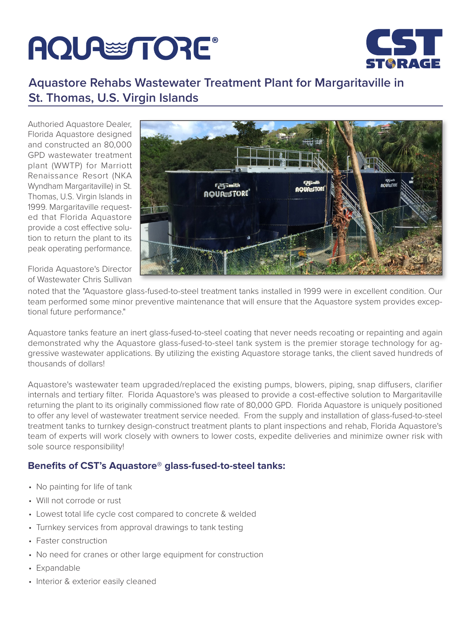## **AQUA TORE®**



## **Aquastore Rehabs Wastewater Treatment Plant for Margaritaville in St. Thomas, U.S. Virgin Islands**

Authoried Aquastore Dealer, Florida Aquastore designed and constructed an 80,000 GPD wastewater treatment plant (WWTP) for Marriott Renaissance Resort (NKA Wyndham Margaritaville) in St. Thomas, U.S. Virgin Islands in 1999. Margaritaville requested that Florida Aquastore provide a cost effective solution to return the plant to its peak operating performance.



Florida Aquastore's Director of Wastewater Chris Sullivan

noted that the "Aquastore glass-fused-to-steel treatment tanks installed in 1999 were in excellent condition. Our team performed some minor preventive maintenance that will ensure that the Aquastore system provides exceptional future performance."

Aquastore tanks feature an inert glass-fused-to-steel coating that never needs recoating or repainting and again demonstrated why the Aquastore glass-fused-to-steel tank system is the premier storage technology for aggressive wastewater applications. By utilizing the existing Aquastore storage tanks, the client saved hundreds of thousands of dollars!

Aquastore's wastewater team upgraded/replaced the existing pumps, blowers, piping, snap diffusers, clarifier internals and tertiary filter. Florida Aquastore's was pleased to provide a cost-effective solution to Margaritaville returning the plant to its originally commissioned flow rate of 80,000 GPD. Florida Aquastore is uniquely positioned to offer any level of wastewater treatment service needed. From the supply and installation of glass-fused-to-steel treatment tanks to turnkey design-construct treatment plants to plant inspections and rehab, Florida Aquastore's team of experts will work closely with owners to lower costs, expedite deliveries and minimize owner risk with sole source responsibility!

## **Benefits of CST's Aquastore® glass-fused-to-steel tanks:**

- No painting for life of tank
- Will not corrode or rust
- Lowest total life cycle cost compared to concrete & welded
- Turnkey services from approval drawings to tank testing
- Faster construction
- No need for cranes or other large equipment for construction
- Expandable
- Interior & exterior easily cleaned